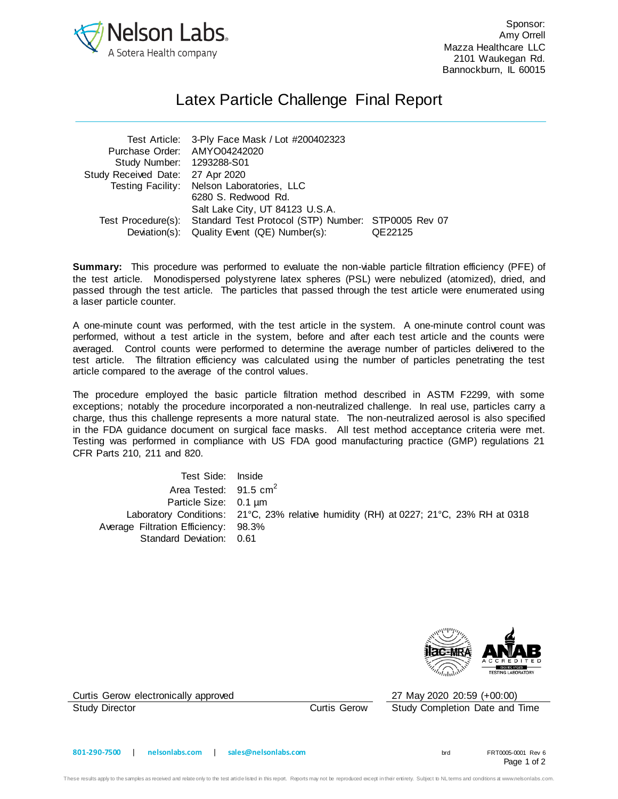

Sponsor: Amy Orrell Mazza Healthcare LLC 2101 Waukegan Rd. Bannockburn, IL 60015

## Latex Particle Challenge Final Report

| Test Article: 3-Ply Face Mask / Lot #200402323 |         |                                                                        |
|------------------------------------------------|---------|------------------------------------------------------------------------|
| Purchase Order: AMYO04242020                   |         |                                                                        |
| Study Number: 1293288-S01                      |         |                                                                        |
| Study Received Date: 27 Apr 2020               |         |                                                                        |
| Testing Facility: Nelson Laboratories, LLC     |         |                                                                        |
| 6280 S. Redwood Rd.                            |         |                                                                        |
| Salt Lake City, UT 84123 U.S.A.                |         |                                                                        |
|                                                |         |                                                                        |
| Deviation(s): Quality Event (QE) Number(s):    | QE22125 |                                                                        |
|                                                |         | Test Procedure(s): Standard Test Protocol (STP) Number: STP0005 Rev 07 |

**Summary:** This procedure was performed to evaluate the non-viable particle filtration efficiency (PFE) of the test article. Monodispersed polystyrene latex spheres (PSL) were nebulized (atomized), dried, and passed through the test article. The particles that passed through the test article were enumerated using a laser particle counter.

A one-minute count was performed, with the test article in the system. A one-minute control count was performed, without a test article in the system, before and after each test article and the counts were averaged. Control counts were performed to determine the average number of particles delivered to the test article. The filtration efficiency was calculated using the number of particles penetrating the test article compared to the average of the control values.

The procedure employed the basic particle filtration method described in ASTM F2299, with some exceptions; notably the procedure incorporated a non-neutralized challenge. In real use, particles carry a charge, thus this challenge represents a more natural state. The non-neutralized aerosol is also specified in the FDA guidance document on surgical face masks. All test method acceptance criteria were met. Testing was performed in compliance with US FDA good manufacturing practice (GMP) regulations 21 CFR Parts 210, 211 and 820.

Test Side: Inside Area Tested: 91.5 cm<sup>2</sup> Particle Size: 0.1 µm Laboratory Conditions: 21°C, 23% relative humidity (RH) at 0227; 21°C, 23% RH at 0318 Average Filtration Efficiency: 98.3% Standard Deviation: 0.61



Curtis Gerow electronically approved 27 May 2020 20:59 (+00:00)

Study Director Curtis Gerow Study Completion Date and Time

Page 1 of 2